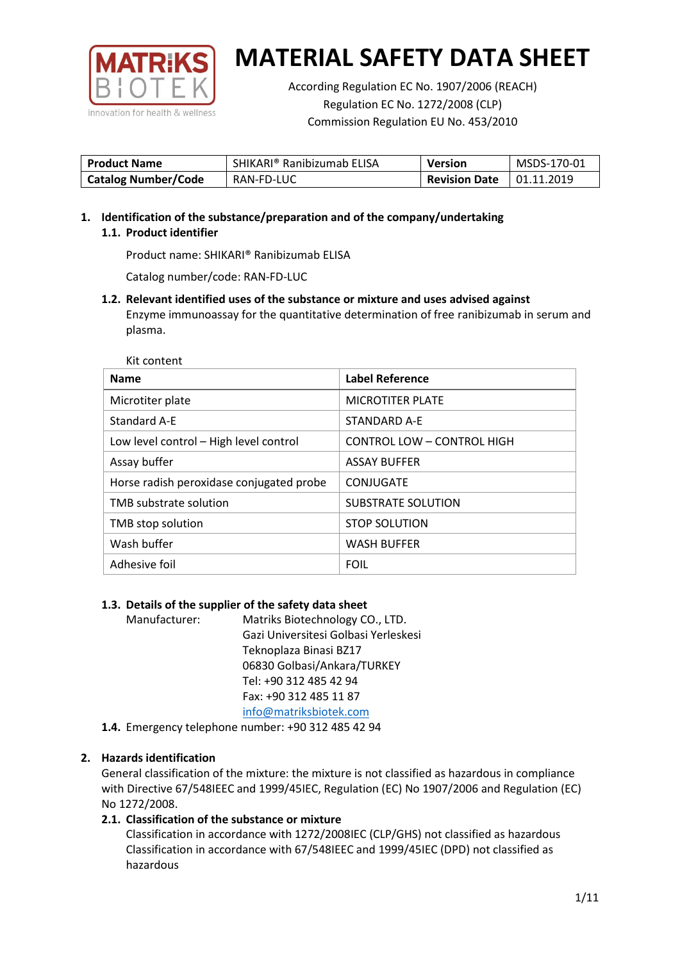

According Regulation EC No. 1907/2006 (REACH) Regulation EC No. 1272/2008 (CLP) Commission Regulation EU No. 453/2010

| <b>Product Name</b>        | SHIKARI® Ranibizumab ELISA | <b>Version</b>       | MSDS-170-01       |
|----------------------------|----------------------------|----------------------|-------------------|
| <b>Catalog Number/Code</b> | RAN-FD-LUC                 | <b>Revision Date</b> | $\mid$ 01.11.2019 |

**1. Identification of the substance/preparation and of the company/undertaking 1.1. Product identifier**

Product name: SHIKARI® Ranibizumab ELISA

Catalog number/code: RAN-FD-LUC

**1.2. Relevant identified uses of the substance or mixture and uses advised against** Enzyme immunoassay for the quantitative determination of free ranibizumab in serum and plasma.

Kit content

| <b>Name</b>                              | Label Reference            |
|------------------------------------------|----------------------------|
| Microtiter plate                         | <b>MICROTITER PLATE</b>    |
| Standard A-E                             | STANDARD A-E               |
| Low level control - High level control   | CONTROL LOW - CONTROL HIGH |
| Assay buffer                             | <b>ASSAY BUFFER</b>        |
| Horse radish peroxidase conjugated probe | CONJUGATE                  |
| TMB substrate solution                   | <b>SUBSTRATE SOLUTION</b>  |
| TMB stop solution                        | <b>STOP SOLUTION</b>       |
| Wash buffer                              | <b>WASH BUFFER</b>         |
| Adhesive foil                            | <b>FOIL</b>                |

### **1.3. Details of the supplier of the safety data sheet**

Manufacturer: Matriks Biotechnology CO., LTD. Gazi Universitesi Golbasi Yerleskesi Teknoplaza Binasi BZ17 06830 Golbasi/Ankara/TURKEY Tel: +90 312 485 42 94 Fax: +90 312 485 11 87 [info@matriksbiotek.com](mailto:info@matriksbiotek.com)

**1.4.** Emergency telephone number: +90 312 485 42 94

## **2. Hazards identification**

General classification of the mixture: the mixture is not classified as hazardous in compliance with Directive 67/548IEEC and 1999/45IEC, Regulation (EC) No 1907/2006 and Regulation (EC) No 1272/2008.

## **2.1. Classification of the substance or mixture**

Classification in accordance with 1272/2008IEC (CLP/GHS) not classified as hazardous Classification in accordance with 67/548IEEC and 1999/45IEC (DPD) not classified as hazardous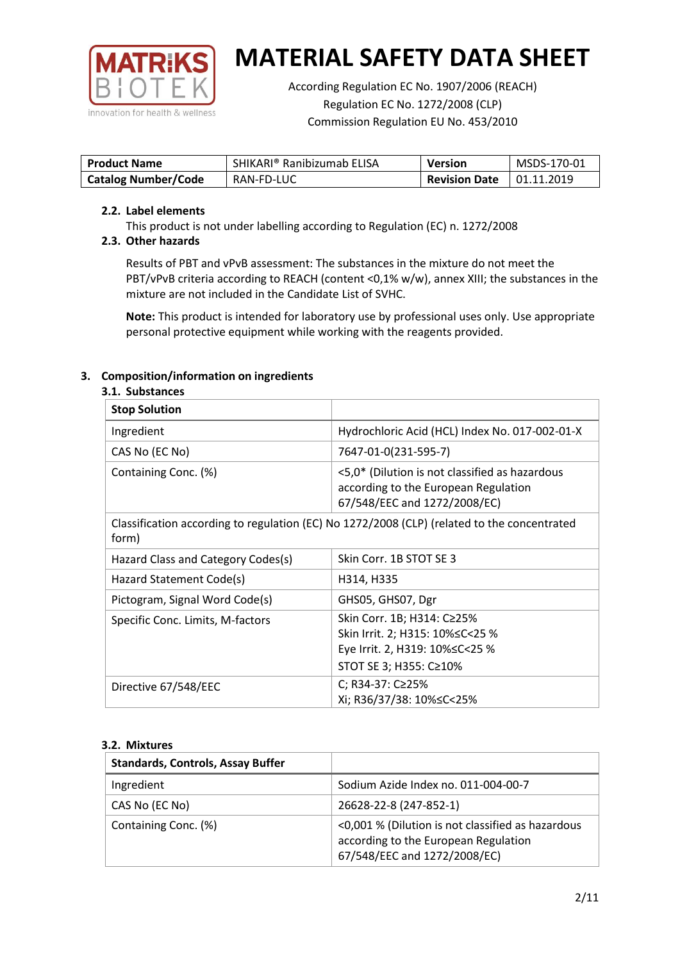

According Regulation EC No. 1907/2006 (REACH) Regulation EC No. 1272/2008 (CLP) Commission Regulation EU No. 453/2010

| <b>Product Name</b>        | SHIKARI® Ranibizumab ELISA | <b>Version</b>       | MSDS-170-01       |
|----------------------------|----------------------------|----------------------|-------------------|
| <b>Catalog Number/Code</b> | RAN-FD-LUC                 | <b>Revision Date</b> | $\mid$ 01.11.2019 |

### **2.2. Label elements**

This product is not under labelling according to Regulation (EC) n. 1272/2008

## **2.3. Other hazards**

Results of PBT and vPvB assessment: The substances in the mixture do not meet the PBT/vPvB criteria according to REACH (content <0,1% w/w), annex XIII; the substances in the mixture are not included in the Candidate List of SVHC.

**Note:** This product is intended for laboratory use by professional uses only. Use appropriate personal protective equipment while working with the reagents provided.

## **3. Composition/information on ingredients**

### **3.1. Substances**

| <b>Stop Solution</b>               |                                                                                                                           |
|------------------------------------|---------------------------------------------------------------------------------------------------------------------------|
| Ingredient                         | Hydrochloric Acid (HCL) Index No. 017-002-01-X                                                                            |
| CAS No (EC No)                     | 7647-01-0(231-595-7)                                                                                                      |
| Containing Conc. (%)               | <5,0* (Dilution is not classified as hazardous<br>according to the European Regulation<br>67/548/EEC and 1272/2008/EC)    |
| form)                              | Classification according to regulation (EC) No 1272/2008 (CLP) (related to the concentrated                               |
| Hazard Class and Category Codes(s) | Skin Corr. 1B STOT SE 3                                                                                                   |
| Hazard Statement Code(s)           | H314, H335                                                                                                                |
| Pictogram, Signal Word Code(s)     | GHS05, GHS07, Dgr                                                                                                         |
| Specific Conc. Limits, M-factors   | Skin Corr. 1B; H314: C≥25%<br>Skin Irrit. 2; H315: 10%≤C<25 %<br>Eye Irrit. 2, H319: 10%≤C<25 %<br>STOT SE 3; H355: C≥10% |
| Directive 67/548/EEC               | C; R34-37: C≥25%<br>Xi; R36/37/38: 10%≤C<25%                                                                              |

### **3.2. Mixtures**

| <b>Standards, Controls, Assay Buffer</b> |                                                                                                                           |
|------------------------------------------|---------------------------------------------------------------------------------------------------------------------------|
| Ingredient                               | Sodium Azide Index no. 011-004-00-7                                                                                       |
| CAS No (EC No)                           | 26628-22-8 (247-852-1)                                                                                                    |
| Containing Conc. (%)                     | <0,001 % (Dilution is not classified as hazardous<br>according to the European Regulation<br>67/548/EEC and 1272/2008/EC) |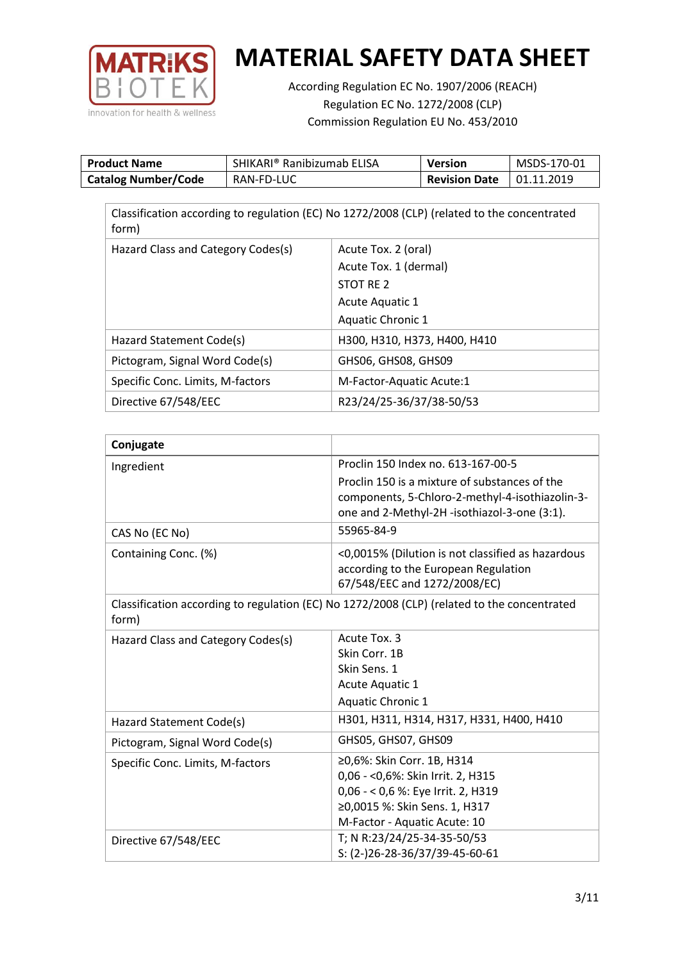

According Regulation EC No. 1907/2006 (REACH) Regulation EC No. 1272/2008 (CLP) Commission Regulation EU No. 453/2010

| <b>Product Name</b>        | SHIKARI® Ranibizumab ELISA | Version              | MSDS-170-01       |
|----------------------------|----------------------------|----------------------|-------------------|
| <b>Catalog Number/Code</b> | RAN-FD-LUC                 | <b>Revision Date</b> | $\mid$ 01.11.2019 |

| form)                              | Classification according to regulation (EC) No 1272/2008 (CLP) (related to the concentrated |
|------------------------------------|---------------------------------------------------------------------------------------------|
| Hazard Class and Category Codes(s) | Acute Tox. 2 (oral)                                                                         |
|                                    | Acute Tox. 1 (dermal)                                                                       |
|                                    | STOT RE 2                                                                                   |
|                                    | Acute Aquatic 1                                                                             |
|                                    | Aquatic Chronic 1                                                                           |
| Hazard Statement Code(s)           | H300, H310, H373, H400, H410                                                                |
| Pictogram, Signal Word Code(s)     | GHS06, GHS08, GHS09                                                                         |
| Specific Conc. Limits, M-factors   | M-Factor-Aquatic Acute:1                                                                    |
| Directive 67/548/EEC               | R23/24/25-36/37/38-50/53                                                                    |

| Conjugate                          |                                                                                                                                                                         |
|------------------------------------|-------------------------------------------------------------------------------------------------------------------------------------------------------------------------|
| Ingredient                         | Proclin 150 Index no. 613-167-00-5                                                                                                                                      |
|                                    | Proclin 150 is a mixture of substances of the<br>components, 5-Chloro-2-methyl-4-isothiazolin-3-<br>one and 2-Methyl-2H -isothiazol-3-one (3:1).                        |
| CAS No (EC No)                     | 55965-84-9                                                                                                                                                              |
| Containing Conc. (%)               | <0,0015% (Dilution is not classified as hazardous<br>according to the European Regulation<br>67/548/EEC and 1272/2008/EC)                                               |
| form)                              | Classification according to regulation (EC) No 1272/2008 (CLP) (related to the concentrated                                                                             |
| Hazard Class and Category Codes(s) | Acute Tox. 3<br>Skin Corr. 1B<br>Skin Sens. 1<br>Acute Aquatic 1<br>Aquatic Chronic 1                                                                                   |
| Hazard Statement Code(s)           | H301, H311, H314, H317, H331, H400, H410                                                                                                                                |
| Pictogram, Signal Word Code(s)     | GHS05, GHS07, GHS09                                                                                                                                                     |
| Specific Conc. Limits, M-factors   | ≥0,6%: Skin Corr. 1B, H314<br>0,06 - < 0,6%: Skin Irrit. 2, H315<br>0,06 - < 0,6 %: Eye Irrit. 2, H319<br>≥0,0015 %: Skin Sens. 1, H317<br>M-Factor - Aquatic Acute: 10 |
| Directive 67/548/EEC               | T; N R:23/24/25-34-35-50/53<br>S: (2-)26-28-36/37/39-45-60-61                                                                                                           |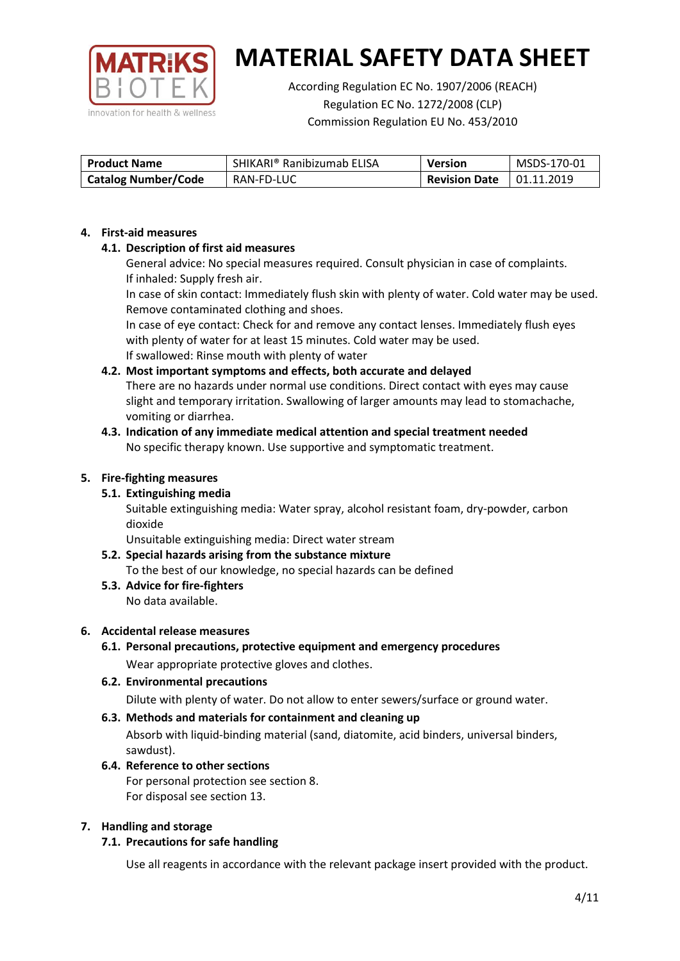

According Regulation EC No. 1907/2006 (REACH) Regulation EC No. 1272/2008 (CLP) Commission Regulation EU No. 453/2010

| <b>Product Name</b>        | SHIKARI® Ranibizumab ELISA | <b>Version</b>       | MSDS-170-01 |
|----------------------------|----------------------------|----------------------|-------------|
| <b>Catalog Number/Code</b> | RAN-FD-LUC                 | <b>Revision Date</b> | 01.11.2019  |

### **4. First-aid measures**

## **4.1. Description of first aid measures**

General advice: No special measures required. Consult physician in case of complaints. If inhaled: Supply fresh air.

In case of skin contact: Immediately flush skin with plenty of water. Cold water may be used. Remove contaminated clothing and shoes.

In case of eye contact: Check for and remove any contact lenses. Immediately flush eyes with plenty of water for at least 15 minutes. Cold water may be used. If swallowed: Rinse mouth with plenty of water

## **4.2. Most important symptoms and effects, both accurate and delayed**

There are no hazards under normal use conditions. Direct contact with eyes may cause slight and temporary irritation. Swallowing of larger amounts may lead to stomachache, vomiting or diarrhea.

### **4.3. Indication of any immediate medical attention and special treatment needed** No specific therapy known. Use supportive and symptomatic treatment.

### **5. Fire-fighting measures**

## **5.1. Extinguishing media**

Suitable extinguishing media: Water spray, alcohol resistant foam, dry-powder, carbon dioxide

Unsuitable extinguishing media: Direct water stream

#### **5.2. Special hazards arising from the substance mixture** To the best of our knowledge, no special hazards can be defined

**5.3. Advice for fire-fighters** No data available.

### **6. Accidental release measures**

- **6.1. Personal precautions, protective equipment and emergency procedures** Wear appropriate protective gloves and clothes.
- **6.2. Environmental precautions** Dilute with plenty of water. Do not allow to enter sewers/surface or ground water.

### **6.3. Methods and materials for containment and cleaning up**

Absorb with liquid-binding material (sand, diatomite, acid binders, universal binders, sawdust).

**6.4. Reference to other sections** For personal protection see section 8. For disposal see section 13.

### **7. Handling and storage**

## **7.1. Precautions for safe handling**

Use all reagents in accordance with the relevant package insert provided with the product.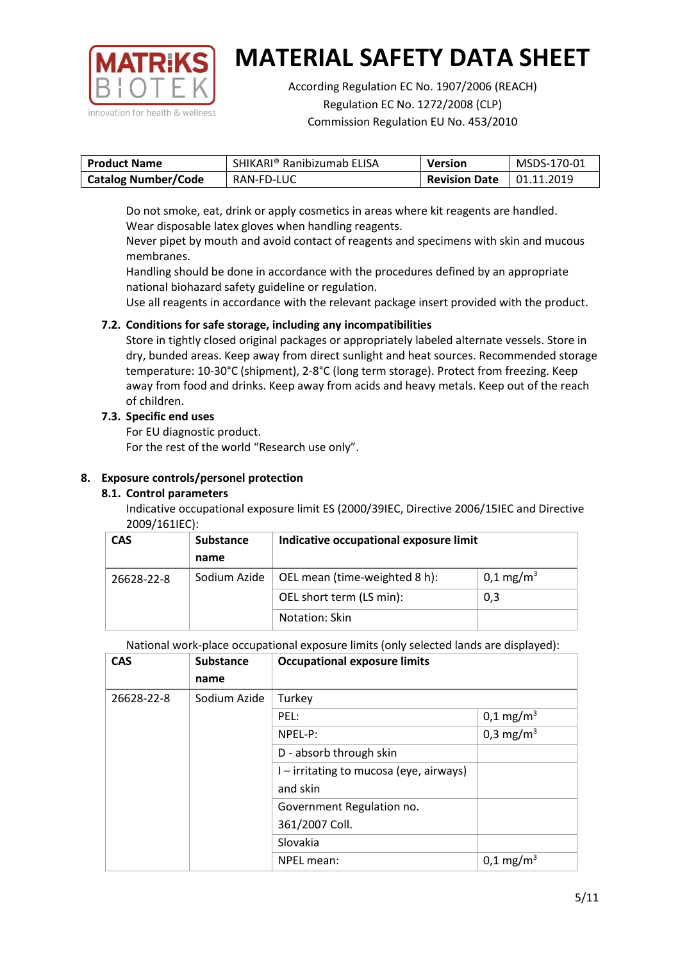

According Regulation EC No. 1907/2006 (REACH) Regulation EC No. 1272/2008 (CLP) Commission Regulation EU No. 453/2010

| <b>Product Name</b>        | SHIKARI® Ranibizumab ELISA | Version              | MSDS-170-01 |
|----------------------------|----------------------------|----------------------|-------------|
| <b>Catalog Number/Code</b> | RAN-FD-LUC                 | <b>Revision Date</b> | 01.11.2019  |

Do not smoke, eat, drink or apply cosmetics in areas where kit reagents are handled. Wear disposable latex gloves when handling reagents.

Never pipet by mouth and avoid contact of reagents and specimens with skin and mucous membranes.

Handling should be done in accordance with the procedures defined by an appropriate national biohazard safety guideline or regulation.

Use all reagents in accordance with the relevant package insert provided with the product.

## **7.2. Conditions for safe storage, including any incompatibilities**

Store in tightly closed original packages or appropriately labeled alternate vessels. Store in dry, bunded areas. Keep away from direct sunlight and heat sources. Recommended storage temperature: 10-30°C (shipment), 2-8°C (long term storage). Protect from freezing. Keep away from food and drinks. Keep away from acids and heavy metals. Keep out of the reach of children.

## **7.3. Specific end uses**

For EU diagnostic product.

For the rest of the world "Research use only".

## **8. Exposure controls/personel protection**

## **8.1. Control parameters**

Indicative occupational exposure limit ES (2000/39IEC, Directive 2006/15IEC and Directive 2009/161IEC):

| <b>CAS</b> | <b>Substance</b> | Indicative occupational exposure limit |                      |
|------------|------------------|----------------------------------------|----------------------|
|            | name             |                                        |                      |
| 26628-22-8 | Sodium Azide     | OEL mean (time-weighted 8 h):          | $0,1 \text{ mg/m}^3$ |
|            |                  | OEL short term (LS min):               | 0,3                  |
|            |                  | Notation: Skin                         |                      |

National work-place occupational exposure limits (only selected lands are displayed):

| <b>CAS</b> | <b>Substance</b> | <b>Occupational exposure limits</b>     |                         |
|------------|------------------|-----------------------------------------|-------------------------|
|            | name             |                                         |                         |
| 26628-22-8 | Sodium Azide     | Turkey                                  |                         |
|            |                  | PEL:                                    | $0,1 \text{ mg/m}^3$    |
|            |                  | NPEL-P:                                 | 0,3 mg/m <sup>3</sup>   |
|            |                  | D - absorb through skin                 |                         |
|            |                  | I – irritating to mucosa (eye, airways) |                         |
|            |                  | and skin                                |                         |
|            |                  | Government Regulation no.               |                         |
|            |                  | 361/2007 Coll.                          |                         |
|            |                  | Slovakia                                |                         |
|            |                  | NPEL mean:                              | $0,1 \,\mathrm{mg/m^3}$ |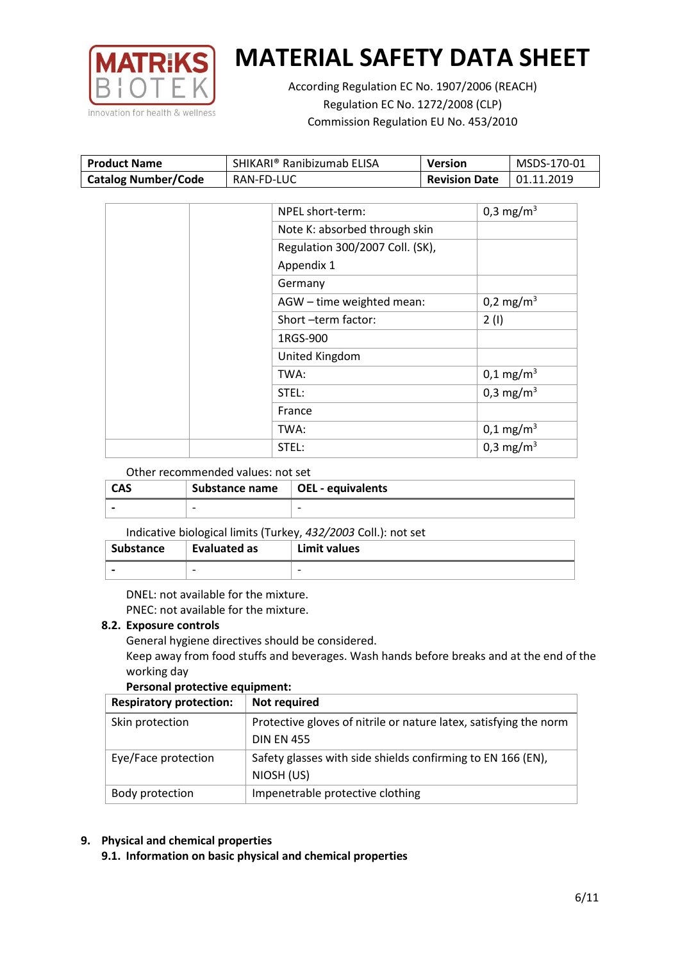

According Regulation EC No. 1907/2006 (REACH) Regulation EC No. 1272/2008 (CLP) Commission Regulation EU No. 453/2010

| <b>Product Name</b>        | SHIKARI® Ranibizumab ELISA | Version              | MSDS-170-01 |
|----------------------------|----------------------------|----------------------|-------------|
| <b>Catalog Number/Code</b> | RAN-FD-LUC                 | <b>Revision Date</b> | 01.11.2019  |

| NPEL short-term:                | 0,3 mg/m <sup>3</sup> |
|---------------------------------|-----------------------|
| Note K: absorbed through skin   |                       |
| Regulation 300/2007 Coll. (SK), |                       |
| Appendix 1                      |                       |
| Germany                         |                       |
| AGW - time weighted mean:       | 0,2 mg/m <sup>3</sup> |
| Short-term factor:              | 2(1)                  |
| 1RGS-900                        |                       |
| United Kingdom                  |                       |
| TWA:                            | $0,1 \text{ mg/m}^3$  |
| STEL:                           | 0,3 mg/m <sup>3</sup> |
| France                          |                       |
| TWA:                            | $0,1 \text{ mg/m}^3$  |
| STEL:                           | 0,3 mg/m <sup>3</sup> |

### Other recommended values: not set

| <b>CAS</b> | Substance name $\vert$ OEL - equivalents |   |
|------------|------------------------------------------|---|
|            | $\overline{\phantom{0}}$                 | - |

### Indicative biological limits (Turkey, *432/2003* Coll.): not set

| Substance | Evaluated as | Limit values             |
|-----------|--------------|--------------------------|
|           | -            | $\overline{\phantom{0}}$ |

DNEL: not available for the mixture. PNEC: not available for the mixture.

### **8.2. Exposure controls**

General hygiene directives should be considered.

Keep away from food stuffs and beverages. Wash hands before breaks and at the end of the working day

### **Personal protective equipment:**

| <b>Respiratory protection:</b> | Not required                                                      |
|--------------------------------|-------------------------------------------------------------------|
| Skin protection                | Protective gloves of nitrile or nature latex, satisfying the norm |
|                                | <b>DIN EN 455</b>                                                 |
| Eye/Face protection            | Safety glasses with side shields confirming to EN 166 (EN),       |
|                                | NIOSH (US)                                                        |
| Body protection                | Impenetrable protective clothing                                  |

## **9. Physical and chemical properties**

**9.1. Information on basic physical and chemical properties**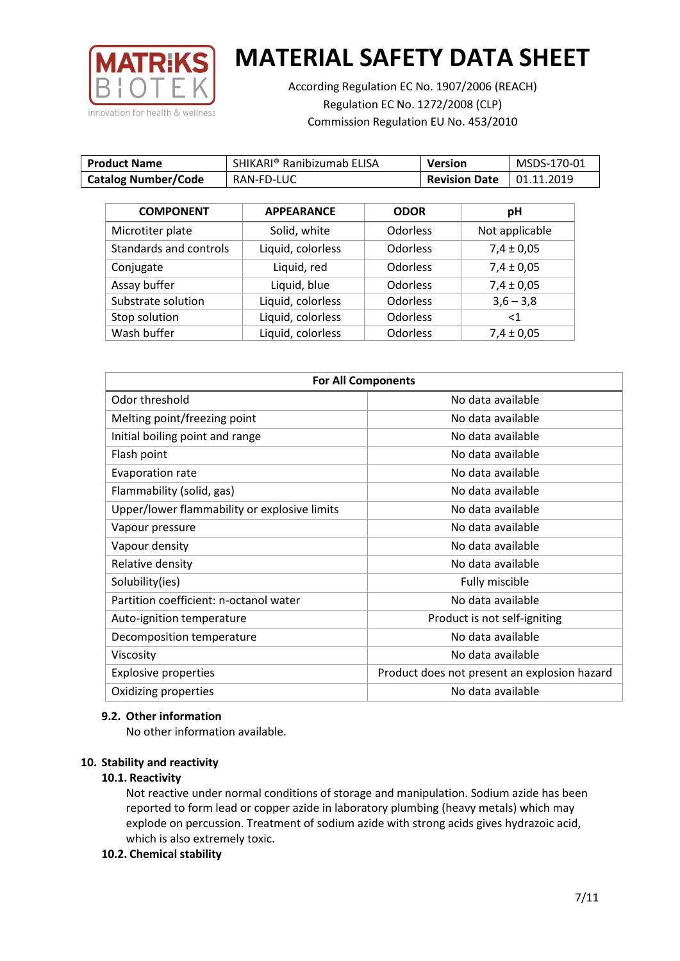

According Regulation EC No. 1907/2006 (REACH) Regulation EC No. 1272/2008 (CLP) Commission Regulation EU No. 453/2010

| <b>Product Name</b>        | SHIKARI® Ranibizumab ELISA | <b>Version</b>       | MSDS-170-01 |
|----------------------------|----------------------------|----------------------|-------------|
| <b>Catalog Number/Code</b> | RAN-FD-LUC                 | <b>Revision Date</b> | 01.11.2019  |

| <b>COMPONENT</b>       | <b>APPEARANCE</b> | <b>ODOR</b>     | pH             |
|------------------------|-------------------|-----------------|----------------|
| Microtiter plate       | Solid, white      | <b>Odorless</b> | Not applicable |
| Standards and controls | Liquid, colorless | <b>Odorless</b> | $7,4 \pm 0,05$ |
| Conjugate              | Liquid, red       | <b>Odorless</b> | $7,4 \pm 0,05$ |
| Assay buffer           | Liquid, blue      | <b>Odorless</b> | $7,4 \pm 0,05$ |
| Substrate solution     | Liquid, colorless | <b>Odorless</b> | $3,6 - 3,8$    |
| Stop solution          | Liquid, colorless | <b>Odorless</b> | $<$ 1          |
| Wash buffer            | Liquid, colorless | <b>Odorless</b> | $7,4 \pm 0,05$ |

| <b>For All Components</b>                    |                                              |  |
|----------------------------------------------|----------------------------------------------|--|
| Odor threshold                               | No data available                            |  |
| Melting point/freezing point                 | No data available                            |  |
| Initial boiling point and range              | No data available                            |  |
| Flash point                                  | No data available                            |  |
| <b>Evaporation rate</b>                      | No data available                            |  |
| Flammability (solid, gas)                    | No data available                            |  |
| Upper/lower flammability or explosive limits | No data available                            |  |
| Vapour pressure                              | No data available                            |  |
| Vapour density                               | No data available                            |  |
| Relative density                             | No data available                            |  |
| Solubility(ies)                              | Fully miscible                               |  |
| Partition coefficient: n-octanol water       | No data available                            |  |
| Auto-ignition temperature                    | Product is not self-igniting                 |  |
| Decomposition temperature                    | No data available                            |  |
| Viscosity                                    | No data available                            |  |
| <b>Explosive properties</b>                  | Product does not present an explosion hazard |  |
| Oxidizing properties                         | No data available                            |  |

### **9.2. Other information**

No other information available.

### **10. Stability and reactivity**

### **10.1. Reactivity**

Not reactive under normal conditions of storage and manipulation. Sodium azide has been reported to form lead or copper azide in laboratory plumbing (heavy metals) which may explode on percussion. Treatment of sodium azide with strong acids gives hydrazoic acid, which is also extremely toxic.

### **10.2. Chemical stability**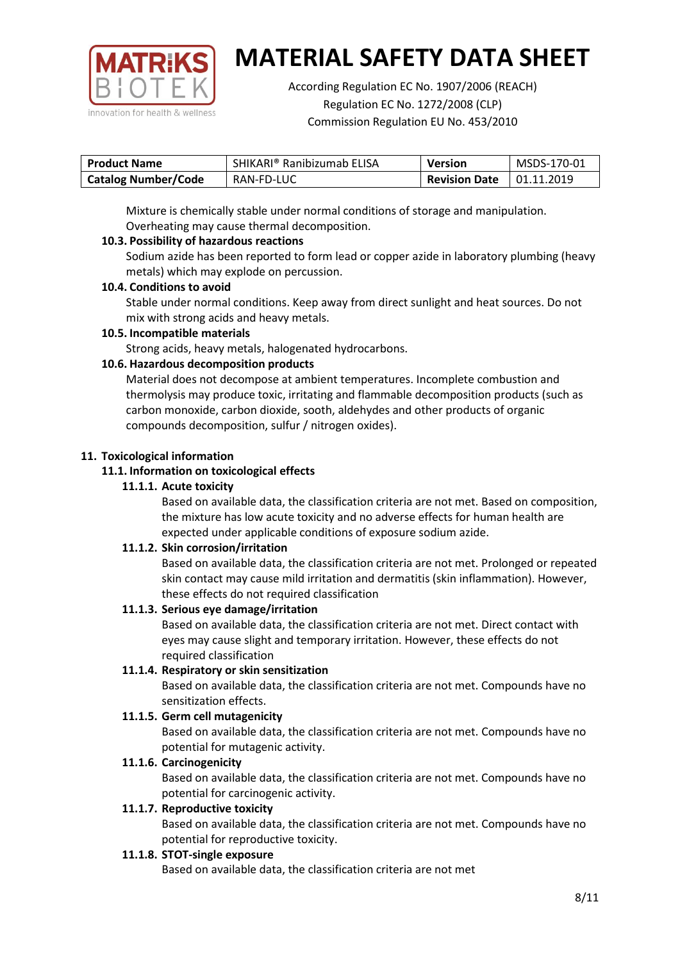

According Regulation EC No. 1907/2006 (REACH) Regulation EC No. 1272/2008 (CLP) Commission Regulation EU No. 453/2010

| <b>Product Name</b>        | SHIKARI® Ranibizumab ELISA | <b>Version</b>       | MSDS-170-01 |
|----------------------------|----------------------------|----------------------|-------------|
| <b>Catalog Number/Code</b> | RAN-FD-LUC                 | <b>Revision Date</b> | 01.11.2019  |

Mixture is chemically stable under normal conditions of storage and manipulation. Overheating may cause thermal decomposition.

## **10.3. Possibility of hazardous reactions**

Sodium azide has been reported to form lead or copper azide in laboratory plumbing (heavy metals) which may explode on percussion.

### **10.4. Conditions to avoid**

Stable under normal conditions. Keep away from direct sunlight and heat sources. Do not mix with strong acids and heavy metals.

### **10.5. Incompatible materials**

Strong acids, heavy metals, halogenated hydrocarbons.

## **10.6. Hazardous decomposition products**

Material does not decompose at ambient temperatures. Incomplete combustion and thermolysis may produce toxic, irritating and flammable decomposition products (such as carbon monoxide, carbon dioxide, sooth, aldehydes and other products of organic compounds decomposition, sulfur / nitrogen oxides).

### **11. Toxicological information**

### **11.1. Information on toxicological effects**

### **11.1.1. Acute toxicity**

Based on available data, the classification criteria are not met. Based on composition, the mixture has low acute toxicity and no adverse effects for human health are expected under applicable conditions of exposure sodium azide.

## **11.1.2. Skin corrosion/irritation**

Based on available data, the classification criteria are not met. Prolonged or repeated skin contact may cause mild irritation and dermatitis (skin inflammation). However, these effects do not required classification

## **11.1.3. Serious eye damage/irritation**

Based on available data, the classification criteria are not met. Direct contact with eyes may cause slight and temporary irritation. However, these effects do not required classification

### **11.1.4. Respiratory or skin sensitization**

Based on available data, the classification criteria are not met. Compounds have no sensitization effects.

## **11.1.5. Germ cell mutagenicity**

Based on available data, the classification criteria are not met. Compounds have no potential for mutagenic activity.

## **11.1.6. Carcinogenicity**

Based on available data, the classification criteria are not met. Compounds have no potential for carcinogenic activity.

### **11.1.7. Reproductive toxicity**

Based on available data, the classification criteria are not met. Compounds have no potential for reproductive toxicity.

### **11.1.8. STOT-single exposure**

Based on available data, the classification criteria are not met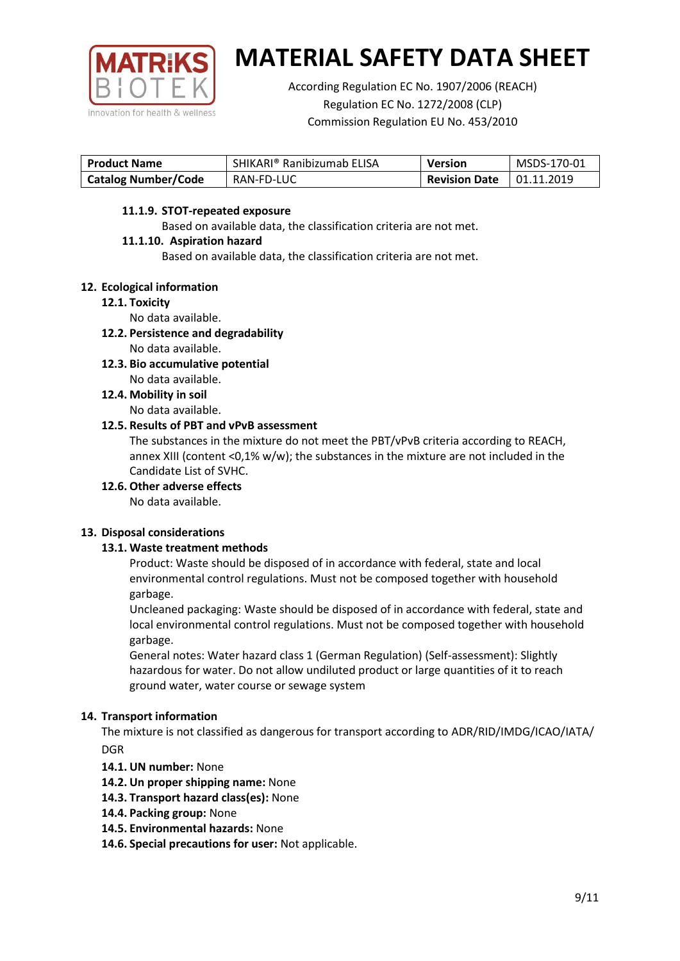

According Regulation EC No. 1907/2006 (REACH) Regulation EC No. 1272/2008 (CLP) Commission Regulation EU No. 453/2010

| <b>Product Name</b>        | SHIKARI® Ranibizumab ELISA | <b>Version</b>       | MSDS-170-01       |
|----------------------------|----------------------------|----------------------|-------------------|
| <b>Catalog Number/Code</b> | RAN-FD-LUC                 | <b>Revision Date</b> | $\mid$ 01.11.2019 |

### **11.1.9. STOT-repeated exposure**

Based on available data, the classification criteria are not met.

### **11.1.10. Aspiration hazard**

Based on available data, the classification criteria are not met.

### **12. Ecological information**

### **12.1. Toxicity**

No data available.

- **12.2. Persistence and degradability** No data available.
- **12.3. Bio accumulative potential** No data available.
- **12.4. Mobility in soil** No data available.

### **12.5. Results of PBT and vPvB assessment**

The substances in the mixture do not meet the PBT/vPvB criteria according to REACH, annex XIII (content <0,1% w/w); the substances in the mixture are not included in the Candidate List of SVHC.

**12.6. Other adverse effects**

No data available.

## **13. Disposal considerations**

## **13.1. Waste treatment methods**

Product: Waste should be disposed of in accordance with federal, state and local environmental control regulations. Must not be composed together with household garbage.

Uncleaned packaging: Waste should be disposed of in accordance with federal, state and local environmental control regulations. Must not be composed together with household garbage.

General notes: Water hazard class 1 (German Regulation) (Self-assessment): Slightly hazardous for water. Do not allow undiluted product or large quantities of it to reach ground water, water course or sewage system

## **14. Transport information**

The mixture is not classified as dangerous for transport according to ADR/RID/IMDG/ICAO/IATA/ DGR

- **14.1. UN number:** None
- **14.2. Un proper shipping name:** None
- **14.3. Transport hazard class(es):** None
- **14.4. Packing group:** None
- **14.5. Environmental hazards:** None
- **14.6. Special precautions for user:** Not applicable.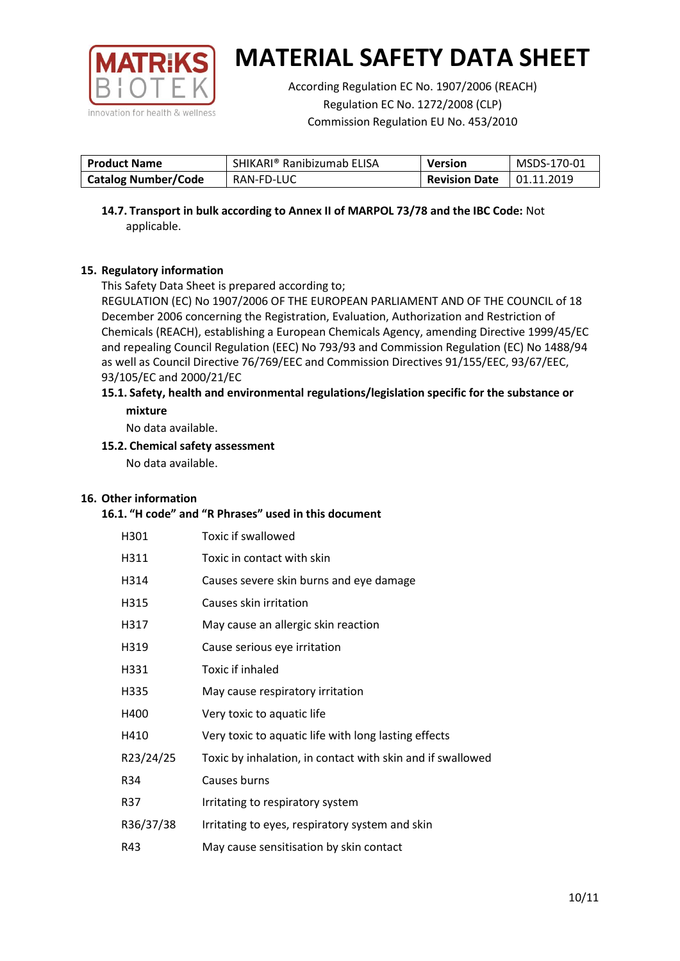

According Regulation EC No. 1907/2006 (REACH) Regulation EC No. 1272/2008 (CLP) Commission Regulation EU No. 453/2010

| <b>Product Name</b>        | SHIKARI® Ranibizumab ELISA | <b>Version</b>       | MSDS-170-01       |
|----------------------------|----------------------------|----------------------|-------------------|
| <b>Catalog Number/Code</b> | RAN-FD-LUC                 | <b>Revision Date</b> | $\mid$ 01.11.2019 |

**14.7. Transport in bulk according to Annex II of MARPOL 73/78 and the IBC Code:** Not applicable.

## **15. Regulatory information**

This Safety Data Sheet is prepared according to;

REGULATION (EC) No 1907/2006 OF THE EUROPEAN PARLIAMENT AND OF THE COUNCIL of 18 December 2006 concerning the Registration, Evaluation, Authorization and Restriction of Chemicals (REACH), establishing a European Chemicals Agency, amending Directive 1999/45/EC and repealing Council Regulation (EEC) No 793/93 and Commission Regulation (EC) No 1488/94 as well as Council Directive 76/769/EEC and Commission Directives 91/155/EEC, 93/67/EEC, 93/105/EC and 2000/21/EC

### **15.1. Safety, health and environmental regulations/legislation specific for the substance or mixture**

No data available.

## **15.2. Chemical safety assessment**

No data available.

## **16. Other information**

### **16.1. "H code" and "R Phrases" used in this document**

| H301      | Toxic if swallowed                                         |
|-----------|------------------------------------------------------------|
| H311      | Toxic in contact with skin                                 |
| H314      | Causes severe skin burns and eye damage                    |
| H315      | Causes skin irritation                                     |
| H317      | May cause an allergic skin reaction                        |
| H319      | Cause serious eye irritation                               |
| H331      | Toxic if inhaled                                           |
| H335      | May cause respiratory irritation                           |
| H400      | Very toxic to aquatic life                                 |
| H410      | Very toxic to aquatic life with long lasting effects       |
| R23/24/25 | Toxic by inhalation, in contact with skin and if swallowed |
| R34       | Causes burns                                               |
| R37       | Irritating to respiratory system                           |
| R36/37/38 | Irritating to eyes, respiratory system and skin            |
| R43       | May cause sensitisation by skin contact                    |
|           |                                                            |